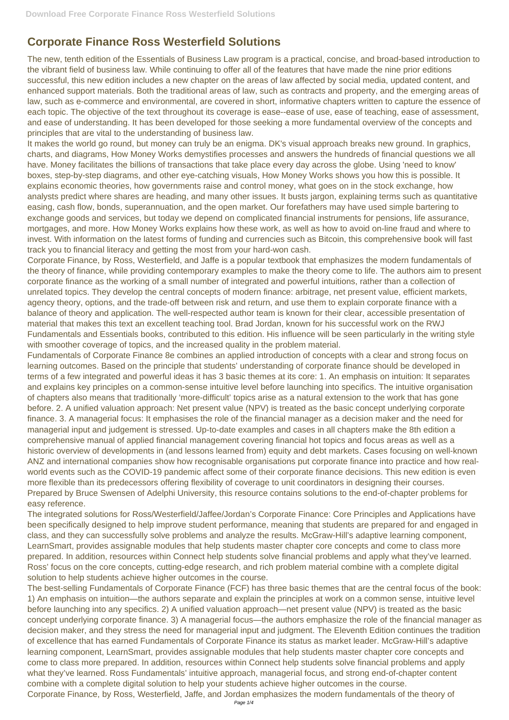## **Corporate Finance Ross Westerfield Solutions**

The new, tenth edition of the Essentials of Business Law program is a practical, concise, and broad-based introduction to the vibrant field of business law. While continuing to offer all of the features that have made the nine prior editions successful, this new edition includes a new chapter on the areas of law affected by social media, updated content, and enhanced support materials. Both the traditional areas of law, such as contracts and property, and the emerging areas of law, such as e-commerce and environmental, are covered in short, informative chapters written to capture the essence of each topic. The objective of the text throughout its coverage is ease--ease of use, ease of teaching, ease of assessment, and ease of understanding. It has been developed for those seeking a more fundamental overview of the concepts and principles that are vital to the understanding of business law.

It makes the world go round, but money can truly be an enigma. DK's visual approach breaks new ground. In graphics, charts, and diagrams, How Money Works demystifies processes and answers the hundreds of financial questions we all have. Money facilitates the billions of transactions that take place every day across the globe. Using 'need to know' boxes, step-by-step diagrams, and other eye-catching visuals, How Money Works shows you how this is possible. It explains economic theories, how governments raise and control money, what goes on in the stock exchange, how analysts predict where shares are heading, and many other issues. It busts jargon, explaining terms such as quantitative easing, cash flow, bonds, superannuation, and the open market. Our forefathers may have used simple bartering to exchange goods and services, but today we depend on complicated financial instruments for pensions, life assurance, mortgages, and more. How Money Works explains how these work, as well as how to avoid on-line fraud and where to invest. With information on the latest forms of funding and currencies such as Bitcoin, this comprehensive book will fast track you to financial literacy and getting the most from your hard-won cash.

Corporate Finance, by Ross, Westerfield, and Jaffe is a popular textbook that emphasizes the modern fundamentals of the theory of finance, while providing contemporary examples to make the theory come to life. The authors aim to present corporate finance as the working of a small number of integrated and powerful intuitions, rather than a collection of unrelated topics. They develop the central concepts of modern finance: arbitrage, net present value, efficient markets, agency theory, options, and the trade-off between risk and return, and use them to explain corporate finance with a balance of theory and application. The well-respected author team is known for their clear, accessible presentation of material that makes this text an excellent teaching tool. Brad Jordan, known for his successful work on the RWJ Fundamentals and Essentials books, contributed to this edition. His influence will be seen particularly in the writing style with smoother coverage of topics, and the increased quality in the problem material.

Fundamentals of Corporate Finance 8e combines an applied introduction of concepts with a clear and strong focus on learning outcomes. Based on the principle that students' understanding of corporate finance should be developed in terms of a few integrated and powerful ideas it has 3 basic themes at its core: 1. An emphasis on intuition: It separates and explains key principles on a common-sense intuitive level before launching into specifics. The intuitive organisation of chapters also means that traditionally 'more-difficult' topics arise as a natural extension to the work that has gone before. 2. A unified valuation approach: Net present value (NPV) is treated as the basic concept underlying corporate finance. 3. A managerial focus: It emphasises the role of the financial manager as a decision maker and the need for managerial input and judgement is stressed. Up-to-date examples and cases in all chapters make the 8th edition a comprehensive manual of applied financial management covering financial hot topics and focus areas as well as a historic overview of developments in (and lessons learned from) equity and debt markets. Cases focusing on well-known ANZ and international companies show how recognisable organisations put corporate finance into practice and how realworld events such as the COVID-19 pandemic affect some of their corporate finance decisions. This new edition is even more flexible than its predecessors offering flexibility of coverage to unit coordinators in designing their courses. Prepared by Bruce Swensen of Adelphi University, this resource contains solutions to the end-of-chapter problems for easy reference.

The integrated solutions for Ross/Westerfield/Jaffee/Jordan's Corporate Finance: Core Principles and Applications have been specifically designed to help improve student performance, meaning that students are prepared for and engaged in class, and they can successfully solve problems and analyze the results. McGraw-Hill's adaptive learning component, LearnSmart, provides assignable modules that help students master chapter core concepts and come to class more prepared. In addition, resources within Connect help students solve financial problems and apply what they've learned. Ross' focus on the core concepts, cutting-edge research, and rich problem material combine with a complete digital solution to help students achieve higher outcomes in the course. The best-selling Fundamentals of Corporate Finance (FCF) has three basic themes that are the central focus of the book: 1) An emphasis on intuition—the authors separate and explain the principles at work on a common sense, intuitive level before launching into any specifics. 2) A unified valuation approach—net present value (NPV) is treated as the basic concept underlying corporate finance. 3) A managerial focus—the authors emphasize the role of the financial manager as decision maker, and they stress the need for managerial input and judgment. The Eleventh Edition continues the tradition of excellence that has earned Fundamentals of Corporate Finance its status as market leader. McGraw-Hill's adaptive learning component, LearnSmart, provides assignable modules that help students master chapter core concepts and come to class more prepared. In addition, resources within Connect help students solve financial problems and apply what they've learned. Ross Fundamentals' intuitive approach, managerial focus, and strong end-of-chapter content combine with a complete digital solution to help your students achieve higher outcomes in the course. Corporate Finance, by Ross, Westerfield, Jaffe, and Jordan emphasizes the modern fundamentals of the theory of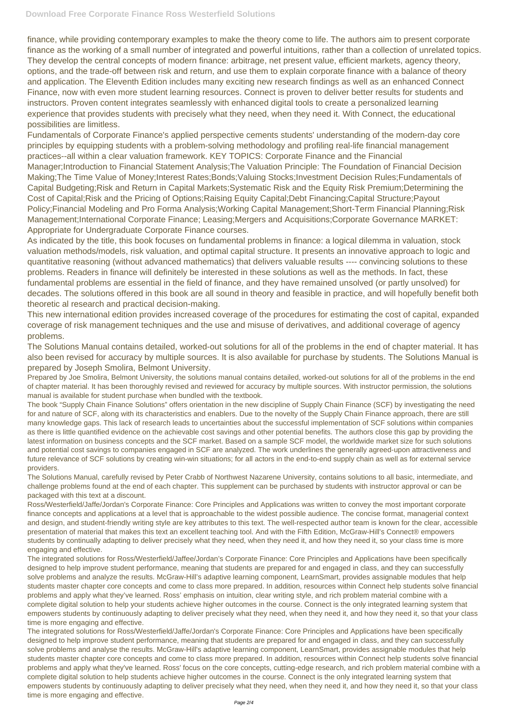finance, while providing contemporary examples to make the theory come to life. The authors aim to present corporate finance as the working of a small number of integrated and powerful intuitions, rather than a collection of unrelated topics. They develop the central concepts of modern finance: arbitrage, net present value, efficient markets, agency theory, options, and the trade-off between risk and return, and use them to explain corporate finance with a balance of theory and application. The Eleventh Edition includes many exciting new research findings as well as an enhanced Connect Finance, now with even more student learning resources. Connect is proven to deliver better results for students and instructors. Proven content integrates seamlessly with enhanced digital tools to create a personalized learning experience that provides students with precisely what they need, when they need it. With Connect, the educational possibilities are limitless.

Fundamentals of Corporate Finance's applied perspective cements students' understanding of the modern-day core principles by equipping students with a problem-solving methodology and profiling real-life financial management practices--all within a clear valuation framework. KEY TOPICS: Corporate Finance and the Financial Manager;Introduction to Financial Statement Analysis;The Valuation Principle: The Foundation of Financial Decision Making;The Time Value of Money;Interest Rates;Bonds;Valuing Stocks;Investment Decision Rules;Fundamentals of Capital Budgeting;Risk and Return in Capital Markets;Systematic Risk and the Equity Risk Premium;Determining the Cost of Capital;Risk and the Pricing of Options;Raising Equity Capital;Debt Financing;Capital Structure;Payout Policy;Financial Modeling and Pro Forma Analysis;Working Capital Management;Short-Term Financial Planning;Risk Management;International Corporate Finance; Leasing;Mergers and Acquisitions;Corporate Governance MARKET: Appropriate for Undergraduate Corporate Finance courses.

As indicated by the title, this book focuses on fundamental problems in finance: a logical dilemma in valuation, stock valuation methods/models, risk valuation, and optimal capital structure. It presents an innovative approach to logic and quantitative reasoning (without advanced mathematics) that delivers valuable results ---- convincing solutions to these problems. Readers in finance will definitely be interested in these solutions as well as the methods. In fact, these fundamental problems are essential in the field of finance, and they have remained unsolved (or partly unsolved) for decades. The solutions offered in this book are all sound in theory and feasible in practice, and will hopefully benefit both theoretic al research and practical decision-making.

This new international edition provides increased coverage of the procedures for estimating the cost of capital, expanded coverage of risk management techniques and the use and misuse of derivatives, and additional coverage of agency problems.

The Solutions Manual contains detailed, worked-out solutions for all of the problems in the end of chapter material. It has also been revised for accuracy by multiple sources. It is also available for purchase by students. The Solutions Manual is prepared by Joseph Smolira, Belmont University.

Prepared by Joe Smolira, Belmont University, the solutions manual contains detailed, worked-out solutions for all of the problems in the end of chapter material. It has been thoroughly revised and reviewed for accuracy by multiple sources. With instructor permission, the solutions manual is available for student purchase when bundled with the textbook.

The book "Supply Chain Finance Solutions" offers orientation in the new discipline of Supply Chain Finance (SCF) by investigating the need for and nature of SCF, along with its characteristics and enablers. Due to the novelty of the Supply Chain Finance approach, there are still many knowledge gaps. This lack of research leads to uncertainties about the successful implementation of SCF solutions within companies as there is little quantified evidence on the achievable cost savings and other potential benefits. The authors close this gap by providing the latest information on business concepts and the SCF market. Based on a sample SCF model, the worldwide market size for such solutions and potential cost savings to companies engaged in SCF are analyzed. The work underlines the generally agreed-upon attractiveness and future relevance of SCF solutions by creating win-win situations; for all actors in the end-to-end supply chain as well as for external service providers.

The Solutions Manual, carefully revised by Peter Crabb of Northwest Nazarene University, contains solutions to all basic, intermediate, and challenge problems found at the end of each chapter. This supplement can be purchased by students with instructor approval or can be packaged with this text at a discount.

Ross/Westerfield/Jaffe/Jordan's Corporate Finance: Core Principles and Applications was written to convey the most important corporate finance concepts and applications at a level that is approachable to the widest possible audience. The concise format, managerial context and design, and student-friendly writing style are key attributes to this text. The well-respected author team is known for the clear, accessible presentation of material that makes this text an excellent teaching tool. And with the Fifth Edition, McGraw-Hill's Connect® empowers students by continually adapting to deliver precisely what they need, when they need it, and how they need it, so your class time is more engaging and effective. The integrated solutions for Ross/Westerfield/Jaffee/Jordan's Corporate Finance: Core Principles and Applications have been specifically designed to help improve student performance, meaning that students are prepared for and engaged in class, and they can successfully solve problems and analyze the results. McGraw-Hill's adaptive learning component, LearnSmart, provides assignable modules that help students master chapter core concepts and come to class more prepared. In addition, resources within Connect help students solve financial problems and apply what they've learned. Ross' emphasis on intuition, clear writing style, and rich problem material combine with a complete digital solution to help your students achieve higher outcomes in the course. Connect is the only integrated learning system that empowers students by continuously adapting to deliver precisely what they need, when they need it, and how they need it, so that your class time is more engaging and effective. The integrated solutions for Ross/Westerfield/Jaffe/Jordan's Corporate Finance: Core Principles and Applications have been specifically designed to help improve student performance, meaning that students are prepared for and engaged in class, and they can successfully solve problems and analyse the results. McGraw-Hill's adaptive learning component, LearnSmart, provides assignable modules that help students master chapter core concepts and come to class more prepared. In addition, resources within Connect help students solve financial problems and apply what they've learned. Ross' focus on the core concepts, cutting-edge research, and rich problem material combine with a complete digital solution to help students achieve higher outcomes in the course. Connect is the only integrated learning system that empowers students by continuously adapting to deliver precisely what they need, when they need it, and how they need it, so that your class time is more engaging and effective.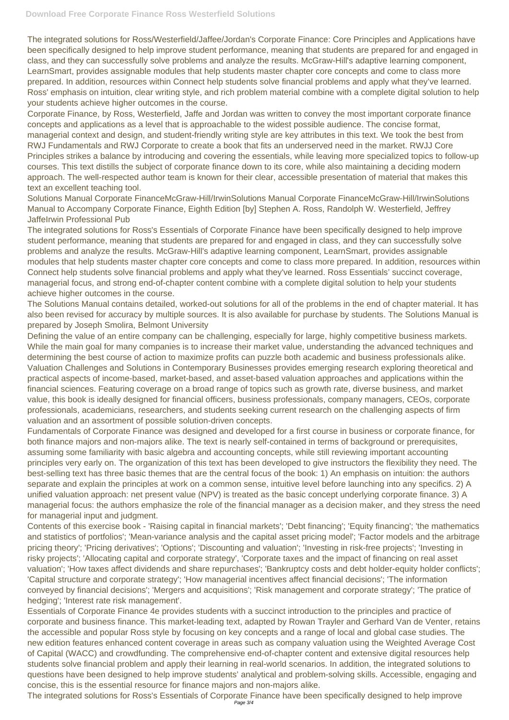The integrated solutions for Ross/Westerfield/Jaffee/Jordan's Corporate Finance: Core Principles and Applications have been specifically designed to help improve student performance, meaning that students are prepared for and engaged in class, and they can successfully solve problems and analyze the results. McGraw-Hill's adaptive learning component, LearnSmart, provides assignable modules that help students master chapter core concepts and come to class more prepared. In addition, resources within Connect help students solve financial problems and apply what they've learned. Ross' emphasis on intuition, clear writing style, and rich problem material combine with a complete digital solution to help your students achieve higher outcomes in the course.

Corporate Finance, by Ross, Westerfield, Jaffe and Jordan was written to convey the most important corporate finance concepts and applications as a level that is approachable to the widest possible audience. The concise format, managerial context and design, and student-friendly writing style are key attributes in this text. We took the best from RWJ Fundamentals and RWJ Corporate to create a book that fits an underserved need in the market. RWJJ Core Principles strikes a balance by introducing and covering the essentials, while leaving more specialized topics to follow-up courses. This text distills the subject of corporate finance down to its core, while also maintaining a deciding modern approach. The well-respected author team is known for their clear, accessible presentation of material that makes this text an excellent teaching tool.

Solutions Manual Corporate FinanceMcGraw-Hill/IrwinSolutions Manual Corporate FinanceMcGraw-Hill/IrwinSolutions Manual to Accompany Corporate Finance, Eighth Edition [by] Stephen A. Ross, Randolph W. Westerfield, Jeffrey JaffeIrwin Professional Pub

The integrated solutions for Ross's Essentials of Corporate Finance have been specifically designed to help improve student performance, meaning that students are prepared for and engaged in class, and they can successfully solve problems and analyze the results. McGraw-Hill's adaptive learning component, LearnSmart, provides assignable modules that help students master chapter core concepts and come to class more prepared. In addition, resources within Connect help students solve financial problems and apply what they've learned. Ross Essentials' succinct coverage, managerial focus, and strong end-of-chapter content combine with a complete digital solution to help your students achieve higher outcomes in the course.

The Solutions Manual contains detailed, worked-out solutions for all of the problems in the end of chapter material. It has also been revised for accuracy by multiple sources. It is also available for purchase by students. The Solutions Manual is prepared by Joseph Smolira, Belmont University

Defining the value of an entire company can be challenging, especially for large, highly competitive business markets. While the main goal for many companies is to increase their market value, understanding the advanced techniques and determining the best course of action to maximize profits can puzzle both academic and business professionals alike. Valuation Challenges and Solutions in Contemporary Businesses provides emerging research exploring theoretical and practical aspects of income-based, market-based, and asset-based valuation approaches and applications within the financial sciences. Featuring coverage on a broad range of topics such as growth rate, diverse business, and market value, this book is ideally designed for financial officers, business professionals, company managers, CEOs, corporate professionals, academicians, researchers, and students seeking current research on the challenging aspects of firm valuation and an assortment of possible solution-driven concepts.

Fundamentals of Corporate Finance was designed and developed for a first course in business or corporate finance, for both finance majors and non-majors alike. The text is nearly self-contained in terms of background or prerequisites, assuming some familiarity with basic algebra and accounting concepts, while still reviewing important accounting principles very early on. The organization of this text has been developed to give instructors the flexibility they need. The best-selling text has three basic themes that are the central focus of the book: 1) An emphasis on intuition: the authors separate and explain the principles at work on a common sense, intuitive level before launching into any specifics. 2) A unified valuation approach: net present value (NPV) is treated as the basic concept underlying corporate finance. 3) A managerial focus: the authors emphasize the role of the financial manager as a decision maker, and they stress the need for managerial input and judgment.

Contents of this exercise book - 'Raising capital in financial markets'; 'Debt financing'; 'Equity financing'; 'the mathematics and statistics of portfolios'; 'Mean-variance analysis and the capital asset pricing model'; 'Factor models and the arbitrage

pricing theory'; 'Pricing derivatives'; 'Options'; 'Discounting and valuation'; 'Investing in risk-free projects'; 'Investing in risky projects'; 'Allocating capital and corporate strategy', 'Corporate taxes and the impact of financing on real asset valuation'; 'How taxes affect dividends and share repurchases'; 'Bankruptcy costs and debt holder-equity holder conflicts'; 'Capital structure and corporate strategy'; 'How managerial incentives affect financial decisions'; 'The information conveyed by financial decisions'; 'Mergers and acquisitions'; 'Risk management and corporate strategy'; 'The pratice of hedging'; 'Interest rate risk management'.

Essentials of Corporate Finance 4e provides students with a succinct introduction to the principles and practice of corporate and business finance. This market-leading text, adapted by Rowan Trayler and Gerhard Van de Venter, retains the accessible and popular Ross style by focusing on key concepts and a range of local and global case studies. The new edition features enhanced content coverage in areas such as company valuation using the Weighted Average Cost of Capital (WACC) and crowdfunding. The comprehensive end-of-chapter content and extensive digital resources help students solve financial problem and apply their learning in real-world scenarios. In addition, the integrated solutions to questions have been designed to help improve students' analytical and problem-solving skills. Accessible, engaging and concise, this is the essential resource for finance majors and non-majors alike.

The integrated solutions for Ross's Essentials of Corporate Finance have been specifically designed to help improve Page 3/4